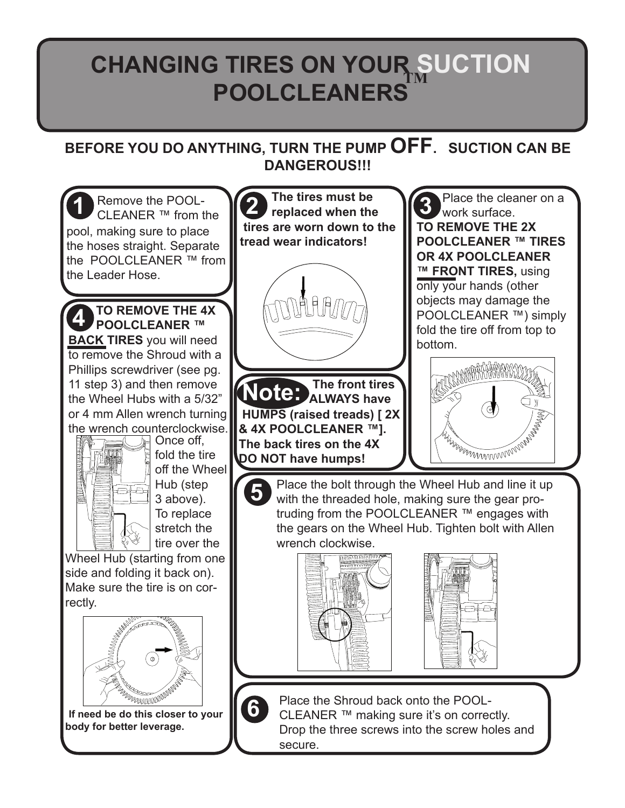## **CHANGING TIRES ON YOUR SUCTION POOLCLEANERS**

## **BEFORE YOU DO ANYTHING, TURN THE PUMP OFF. SUCTION CAN BE DANGEROUS!!!**